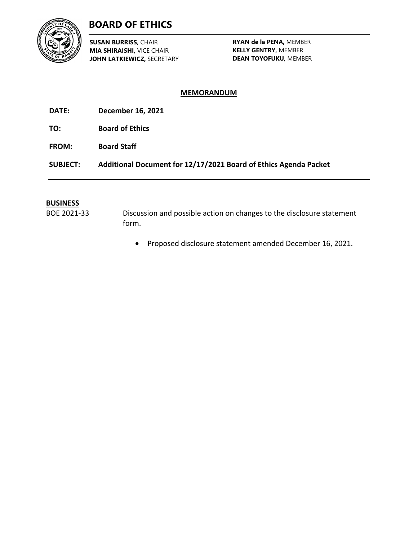

# **BOARD OF ETHICS**

**SUSAN BURRISS,** CHAIR **MIA SHIRAISHI,** VICE CHAIR **JOHN LATKIEWICZ,** SECRETARY

**RYAN de la PENA,** MEMBER **KELLY GENTRY,** MEMBER **DEAN TOYOFUKU,** MEMBER

### **MEMORANDUM**

- **DATE: December 16, 2021**
- **TO: Board of Ethics**
- **FROM: Board Staff**

**SUBJECT: Additional Document for 12/17/2021 Board of Ethics Agenda Packet**

#### **BUSINESS**

BOE 2021-33 Discussion and possible action on changes to the disclosure statement form.

• Proposed disclosure statement amended December 16, 2021.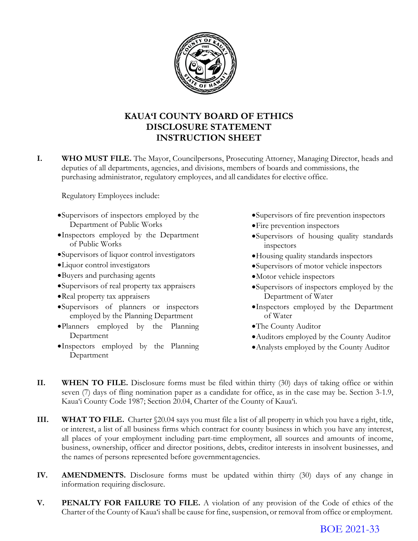

# **KAUA'I COUNTY BOARD OF ETHICS DISCLOSURE STATEMENT INSTRUCTION SHEET**

**I. WHO MUST FILE.** The Mayor, Councilpersons, Prosecuting Attorney, Managing Director, heads and deputies of all departments, agencies, and divisions, members of boards and commissions, the purchasing administrator, regulatory employees, and all candidates for elective office.

Regulatory Employees include:

- •Supervisors of inspectors employed by the Department of Public Works
- •Inspectors employed by the Department of Public Works
- •Supervisors of liquor control investigators
- •Liquor control investigators
- •Buyers and purchasing agents
- •Supervisors of real property tax appraisers
- •Real property tax appraisers
- •Supervisors of planners or inspectors employed by the Planning Department
- •Planners employed by the Planning Department
- •Inspectors employed by the Planning Department
- •Supervisors of fire prevention inspectors
- •Fire prevention inspectors
- •Supervisors of housing quality standards inspectors
- •Housing quality standards inspectors
- •Supervisors of motor vehicle inspectors
- •Motor vehicle inspectors
- •Supervisors of inspectors employed by the Department of Water
- •Inspectors employed by the Department of Water
- •The County Auditor
- •Auditors employed by the County Auditor
- •Analysts employed by the County Auditor
- **II. WHEN TO FILE.** Disclosure forms must be filed within thirty (30) days of taking office or within seven (7) days of fling nomination paper as a candidate for office, as in the case may be. Section 3-1.9, Kaua'i County Code 1987; Section 20.04, Charter of the County of Kaua'i.
- **III. WHAT TO FILE.** Charter \$20.04 says you must file a list of all property in which you have a right, title, or interest, a list of all business firms which contract for county business in which you have any interest, all places of your employment including part-time employment, all sources and amounts of income, business, ownership, officer and director positions, debts, creditor interests in insolvent businesses, and the names of persons represented before government agencies.
- **IV. AMENDMENTS.** Disclosure forms must be updated within thirty (30) days of any change in information requiring disclosure.
- **V. PENALTY FOR FAILURE TO FILE.** A violation of any provision of the Code of ethics of the Charter of the County of Kaua'i shall be cause for fine, suspension, or removal from office or employment.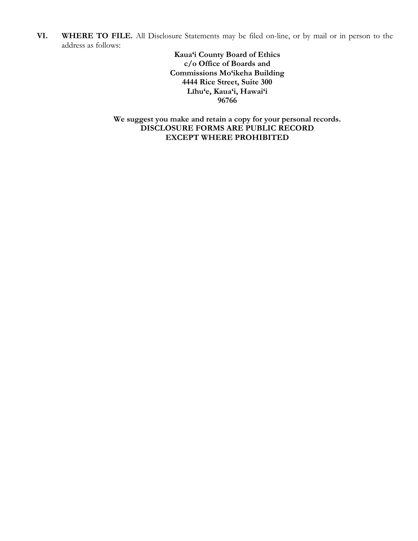**VI. WHERE TO FILE.** All Disclosure Statements may be filed on-line, or by mail or in person to the address as follows:

> **Kaua'i County Board of Ethics c/o Office of Boards and Commissions Mo'ikeha Building 4444 Rice Street, Suite 300 Līhu'e, Kaua'i, Hawai'i 96766**

**We suggest you make and retain a copy for your personal records. DISCLOSURE FORMS ARE PUBLIC RECORD EXCEPT WHERE PROHIBITED**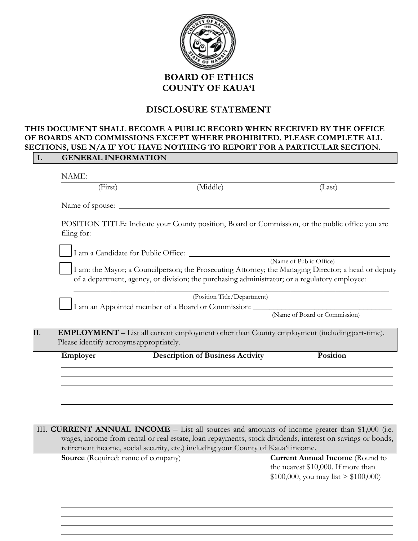

## **DISCLOSURE STATEMENT**

# **THIS DOCUMENT SHALL BECOME A PUBLIC RECORD WHEN RECEIVED BY THE OFFICE OF BOARDS AND COMMISSIONS EXCEPT WHERE PROHIBITED. PLEASE COMPLETE ALL SECTIONS, USE N/A IF YOU HAVE NOTHING TO REPORT FOR A PARTICULAR SECTION.**

| NAME:                                   |                                                                                                                                                                                                      |                               |
|-----------------------------------------|------------------------------------------------------------------------------------------------------------------------------------------------------------------------------------------------------|-------------------------------|
| (First)                                 | (Middle)                                                                                                                                                                                             | (Last)                        |
|                                         |                                                                                                                                                                                                      |                               |
| filing for:                             | POSITION TITLE: Indicate your County position, Board or Commission, or the public office you are                                                                                                     |                               |
|                                         |                                                                                                                                                                                                      |                               |
|                                         |                                                                                                                                                                                                      | (Name of Public Office)       |
|                                         | I am: the Mayor; a Councilperson; the Prosecuting Attorney; the Managing Director; a head or deputy<br>of a department, agency, or division; the purchasing administrator; or a regulatory employee: |                               |
|                                         | (Position Title/Department)                                                                                                                                                                          |                               |
|                                         | I am an Appointed member of a Board or Commission: _____________________________                                                                                                                     |                               |
|                                         |                                                                                                                                                                                                      | (Name of Board or Commission) |
|                                         | <b>EMPLOYMENT</b> – List all current employment other than County employment (including part-time).                                                                                                  |                               |
| Please identify acronyms appropriately. |                                                                                                                                                                                                      |                               |
| Employer                                | <b>Description of Business Activity</b>                                                                                                                                                              | <b>Position</b>               |
|                                         |                                                                                                                                                                                                      |                               |
|                                         |                                                                                                                                                                                                      |                               |
|                                         |                                                                                                                                                                                                      |                               |

III. **CURRENT ANNUAL INCOME** – List all sources and amounts of income greater than \$1,000 (i.e. wages, income from rental or real estate, loan repayments, stock dividends, interest on savings or bonds, retirement income, social security, etc.) including your County of Kaua'i income.

**Source** (Required: name of company) **Current Annual Income** (Round to the nearest \$10,000. If more than  $$100,000$ , you may list  $> $100,000$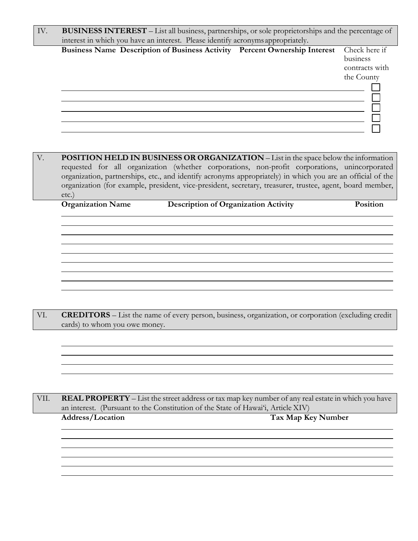| IV. | BUSINESS INTEREST – List all business, partnerships, or sole proprietorships and the percentage of |                                                           |
|-----|----------------------------------------------------------------------------------------------------|-----------------------------------------------------------|
|     | interest in which you have an interest. Please identify acronyms appropriately.                    |                                                           |
|     | Business Name Description of Business Activity Percent Ownership Interest                          | Check here if<br>business<br>contracts with<br>the County |
|     |                                                                                                    |                                                           |

| $V_{\cdot}$ | <b>POSITION HELD IN BUSINESS OR ORGANIZATION</b> - List in the space below the information                 |
|-------------|------------------------------------------------------------------------------------------------------------|
|             | requested for all organization (whether corporations, non-profit corporations, unincorporated              |
|             | organization, partnerships, etc., and identify acronyms appropriately) in which you are an official of the |
|             | organization (for example, president, vice-president, secretary, treasurer, trustee, agent, board member,  |
|             | $etc.$ )                                                                                                   |

**Organization Name Description of Organization Activity Position**

VI. **CREDITORS** – List the name of every person, business, organization, or corporation (excluding credit cards) to whom you owe money.

VII. **REAL PROPERTY** – List the street address or tax map key number of any real estate in which you have an interest. (Pursuant to the Constitution of the State of Hawai'i, Article XIV)

**Address/Location Tax Map Key Number**